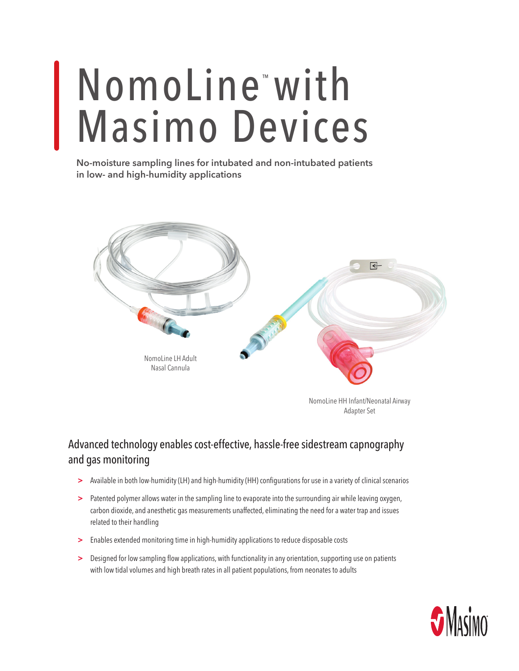## NomoLine<sup>™</sup>with Masimo Devices

**No-moisture sampling lines for intubated and non-intubated patients in low- and high-humidity applications**



NomoLine HH Infant/Neonatal Airway Adapter Set

## Advanced technology enables cost-effective, hassle-free sidestream capnography and gas monitoring

- **>** Available in both low-humidity (LH) and high-humidity (HH) configurations for use in a variety of clinical scenarios
- **>** Patented polymer allows water in the sampling line to evaporate into the surrounding air while leaving oxygen, carbon dioxide, and anesthetic gas measurements unaffected, eliminating the need for a water trap and issues related to their handling
- **>** Enables extended monitoring time in high-humidity applications to reduce disposable costs
- **>** Designed for low sampling flow applications, with functionality in any orientation, supporting use on patients with low tidal volumes and high breath rates in all patient populations, from neonates to adults